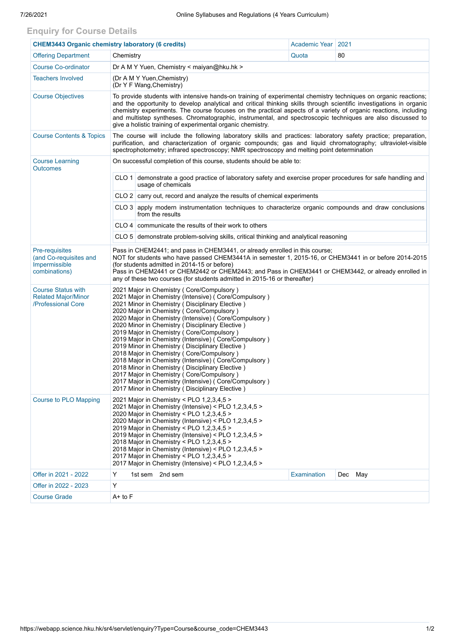## **Enquiry for Course Details**

| <b>CHEM3443 Organic chemistry laboratory (6 credits)</b>                          |                                                                                                                                                                                                                                                                                                                                                                                                                                                                                                                                                                                                                                                                                                                                                                                                 |                                                                                                                          | Academic Year   2021 |         |  |  |  |  |  |
|-----------------------------------------------------------------------------------|-------------------------------------------------------------------------------------------------------------------------------------------------------------------------------------------------------------------------------------------------------------------------------------------------------------------------------------------------------------------------------------------------------------------------------------------------------------------------------------------------------------------------------------------------------------------------------------------------------------------------------------------------------------------------------------------------------------------------------------------------------------------------------------------------|--------------------------------------------------------------------------------------------------------------------------|----------------------|---------|--|--|--|--|--|
| <b>Offering Department</b>                                                        | Quota                                                                                                                                                                                                                                                                                                                                                                                                                                                                                                                                                                                                                                                                                                                                                                                           | 80                                                                                                                       |                      |         |  |  |  |  |  |
| <b>Course Co-ordinator</b>                                                        | Dr A M Y Yuen, Chemistry < maiyan@hku.hk >                                                                                                                                                                                                                                                                                                                                                                                                                                                                                                                                                                                                                                                                                                                                                      |                                                                                                                          |                      |         |  |  |  |  |  |
| <b>Teachers Involved</b>                                                          | (Dr A M Y Yuen, Chemistry)<br>(Dr Y F Wang, Chemistry)                                                                                                                                                                                                                                                                                                                                                                                                                                                                                                                                                                                                                                                                                                                                          |                                                                                                                          |                      |         |  |  |  |  |  |
| <b>Course Objectives</b>                                                          | To provide students with intensive hands-on training of experimental chemistry techniques on organic reactions;<br>and the opportunity to develop analytical and critical thinking skills through scientific investigations in organic<br>chemistry experiments. The course focuses on the practical aspects of a variety of organic reactions, including<br>and multistep syntheses. Chromatographic, instrumental, and spectroscopic techniques are also discussed to<br>give a holistic training of experimental organic chemistry.                                                                                                                                                                                                                                                          |                                                                                                                          |                      |         |  |  |  |  |  |
| <b>Course Contents &amp; Topics</b>                                               | The course will include the following laboratory skills and practices: laboratory safety practice; preparation,<br>purification, and characterization of organic compounds; gas and liquid chromatography; ultraviolet-visible<br>spectrophotometry; infrared spectroscopy; NMR spectroscopy and melting point determination                                                                                                                                                                                                                                                                                                                                                                                                                                                                    |                                                                                                                          |                      |         |  |  |  |  |  |
| <b>Course Learning</b><br><b>Outcomes</b>                                         | On successful completion of this course, students should be able to:                                                                                                                                                                                                                                                                                                                                                                                                                                                                                                                                                                                                                                                                                                                            |                                                                                                                          |                      |         |  |  |  |  |  |
|                                                                                   | CLO 1 demonstrate a good practice of laboratory safety and exercise proper procedures for safe handling and<br>usage of chemicals                                                                                                                                                                                                                                                                                                                                                                                                                                                                                                                                                                                                                                                               |                                                                                                                          |                      |         |  |  |  |  |  |
|                                                                                   |                                                                                                                                                                                                                                                                                                                                                                                                                                                                                                                                                                                                                                                                                                                                                                                                 | CLO 2 carry out, record and analyze the results of chemical experiments                                                  |                      |         |  |  |  |  |  |
|                                                                                   |                                                                                                                                                                                                                                                                                                                                                                                                                                                                                                                                                                                                                                                                                                                                                                                                 | CLO 3 apply modern instrumentation techniques to characterize organic compounds and draw conclusions<br>from the results |                      |         |  |  |  |  |  |
|                                                                                   |                                                                                                                                                                                                                                                                                                                                                                                                                                                                                                                                                                                                                                                                                                                                                                                                 | CLO 4   communicate the results of their work to others                                                                  |                      |         |  |  |  |  |  |
|                                                                                   |                                                                                                                                                                                                                                                                                                                                                                                                                                                                                                                                                                                                                                                                                                                                                                                                 | CLO 5 demonstrate problem-solving skills, critical thinking and analytical reasoning                                     |                      |         |  |  |  |  |  |
| <b>Pre-requisites</b><br>(and Co-requisites and<br>Impermissible<br>combinations) | Pass in CHEM2441; and pass in CHEM3441, or already enrolled in this course;<br>NOT for students who have passed CHEM3441A in semester 1, 2015-16, or CHEM3441 in or before 2014-2015<br>(for students admitted in 2014-15 or before)<br>Pass in CHEM2441 or CHEM2442 or CHEM2443; and Pass in CHEM3441 or CHEM3442, or already enrolled in<br>any of these two courses (for students admitted in 2015-16 or thereafter)                                                                                                                                                                                                                                                                                                                                                                         |                                                                                                                          |                      |         |  |  |  |  |  |
| <b>Course Status with</b><br><b>Related Major/Minor</b><br>/Professional Core     | 2021 Major in Chemistry ( Core/Compulsory )<br>2021 Major in Chemistry (Intensive) (Core/Compulsory)<br>2021 Minor in Chemistry (Disciplinary Elective)<br>2020 Major in Chemistry (Core/Compulsory)<br>2020 Major in Chemistry (Intensive) (Core/Compulsory)<br>2020 Minor in Chemistry (Disciplinary Elective)<br>2019 Major in Chemistry (Core/Compulsory)<br>2019 Major in Chemistry (Intensive) ( Core/Compulsory )<br>2019 Minor in Chemistry (Disciplinary Elective)<br>2018 Major in Chemistry (Core/Compulsory)<br>2018 Major in Chemistry (Intensive) ( Core/Compulsory )<br>2018 Minor in Chemistry (Disciplinary Elective)<br>2017 Major in Chemistry (Core/Compulsory)<br>2017 Major in Chemistry (Intensive) (Core/Compulsory)<br>2017 Minor in Chemistry (Disciplinary Elective) |                                                                                                                          |                      |         |  |  |  |  |  |
| <b>Course to PLO Mapping</b>                                                      | 2021 Major in Chemistry < PLO 1,2,3,4,5 ><br>2021 Major in Chemistry (Intensive) < PLO 1,2,3,4,5 ><br>2020 Major in Chemistry < PLO 1,2,3,4,5 ><br>2020 Major in Chemistry (Intensive) < PLO 1,2,3,4,5 ><br>2019 Major in Chemistry < PLO 1,2,3,4,5 ><br>2019 Major in Chemistry (Intensive) < PLO 1,2,3,4,5 ><br>2018 Major in Chemistry < PLO 1,2,3,4,5 ><br>2018 Major in Chemistry (Intensive) < PLO 1,2,3,4,5 ><br>2017 Major in Chemistry < PLO 1,2,3,4,5 ><br>2017 Major in Chemistry (Intensive) < PLO 1,2,3,4,5 >                                                                                                                                                                                                                                                                      |                                                                                                                          |                      |         |  |  |  |  |  |
| Offer in 2021 - 2022                                                              | Y                                                                                                                                                                                                                                                                                                                                                                                                                                                                                                                                                                                                                                                                                                                                                                                               | 2nd sem<br>1st sem                                                                                                       | Examination          | Dec May |  |  |  |  |  |
| Offer in 2022 - 2023                                                              | Υ                                                                                                                                                                                                                                                                                                                                                                                                                                                                                                                                                                                                                                                                                                                                                                                               |                                                                                                                          |                      |         |  |  |  |  |  |
| <b>Course Grade</b>                                                               | A+ to F                                                                                                                                                                                                                                                                                                                                                                                                                                                                                                                                                                                                                                                                                                                                                                                         |                                                                                                                          |                      |         |  |  |  |  |  |